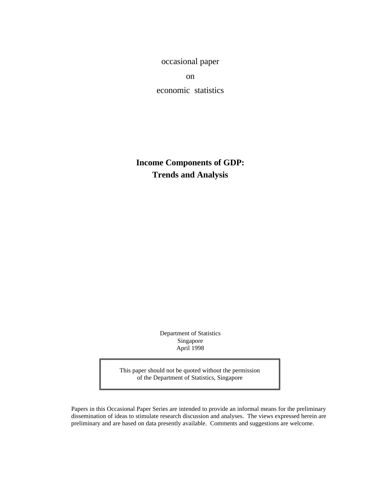occasional paper

on

economic statistics

**Income Components of GDP: Trends and Analysis**

> Department of Statistics Singapore April 1998

This paper should not be quoted without the permission of the Department of Statistics, Singapore

 Papers in this Occasional Paper Series are intended to provide an informal means for the preliminary dissemination of ideas to stimulate research discussion and analyses. The views expressed herein are preliminary and are based on data presently available. Comments and suggestions are welcome.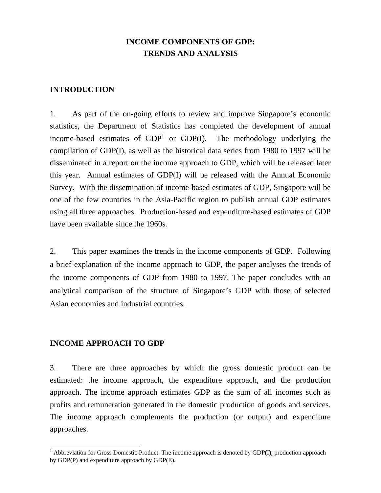# **INCOME COMPONENTS OF GDP: TRENDS AND ANALYSIS**

### **INTRODUCTION**

1. As part of the on-going efforts to review and improve Singapore's economic statistics, the Department of Statistics has completed the development of annual income-based estimates of  $GDP<sup>1</sup>$  or  $GDP(I)$ . The methodology underlying the compilation of GDP(I), as well as the historical data series from 1980 to 1997 will be disseminated in a report on the income approach to GDP, which will be released later this year. Annual estimates of GDP(I) will be released with the Annual Economic Survey. With the dissemination of income-based estimates of GDP, Singapore will be one of the few countries in the Asia-Pacific region to publish annual GDP estimates using all three approaches. Production-based and expenditure-based estimates of GDP have been available since the 1960s.

2. This paper examines the trends in the income components of GDP. Following a brief explanation of the income approach to GDP, the paper analyses the trends of the income components of GDP from 1980 to 1997. The paper concludes with an analytical comparison of the structure of Singapore's GDP with those of selected Asian economies and industrial countries.

# **INCOME APPROACH TO GDP**

-

3. There are three approaches by which the gross domestic product can be estimated: the income approach, the expenditure approach, and the production approach. The income approach estimates GDP as the sum of all incomes such as profits and remuneration generated in the domestic production of goods and services. The income approach complements the production (or output) and expenditure approaches.

<sup>&</sup>lt;sup>1</sup> Abbreviation for Gross Domestic Product. The income approach is denoted by GDP(I), production approach by GDP(P) and expenditure approach by GDP(E).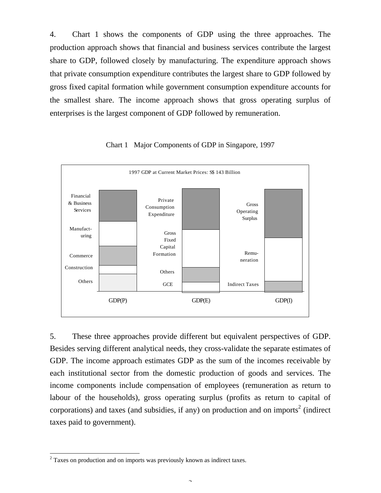4. Chart 1 shows the components of GDP using the three approaches. The production approach shows that financial and business services contribute the largest share to GDP, followed closely by manufacturing. The expenditure approach shows that private consumption expenditure contributes the largest share to GDP followed by gross fixed capital formation while government consumption expenditure accounts for the smallest share. The income approach shows that gross operating surplus of enterprises is the largest component of GDP followed by remuneration.



Chart 1 Major Components of GDP in Singapore, 1997

5. These three approaches provide different but equivalent perspectives of GDP. Besides serving different analytical needs, they cross-validate the separate estimates of GDP. The income approach estimates GDP as the sum of the incomes receivable by each institutional sector from the domestic production of goods and services. The income components include compensation of employees (remuneration as return to labour of the households), gross operating surplus (profits as return to capital of corporations) and taxes (and subsidies, if any) on production and on imports<sup>2</sup> (indirect taxes paid to government).

-

 $2$  Taxes on production and on imports was previously known as indirect taxes.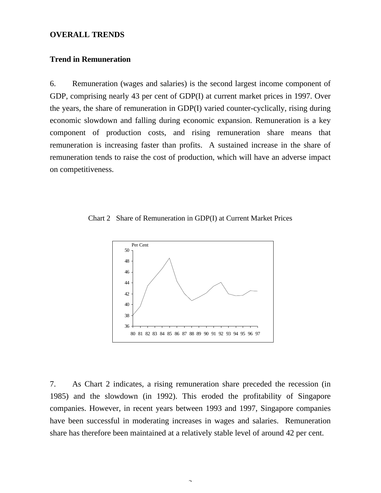#### **OVERALL TRENDS**

### **Trend in Remuneration**

6. Remuneration (wages and salaries) is the second largest income component of GDP, comprising nearly 43 per cent of GDP(I) at current market prices in 1997. Over the years, the share of remuneration in GDP(I) varied counter-cyclically, rising during economic slowdown and falling during economic expansion. Remuneration is a key component of production costs, and rising remuneration share means that remuneration is increasing faster than profits. A sustained increase in the share of remuneration tends to raise the cost of production, which will have an adverse impact on competitiveness.





7. As Chart 2 indicates, a rising remuneration share preceded the recession (in 1985) and the slowdown (in 1992). This eroded the profitability of Singapore companies. However, in recent years between 1993 and 1997, Singapore companies have been successful in moderating increases in wages and salaries. Remuneration share has therefore been maintained at a relatively stable level of around 42 per cent.

 $\overline{a}$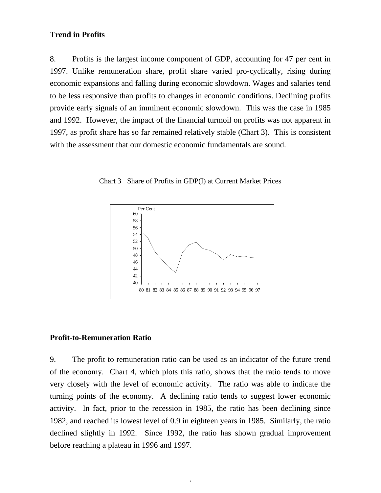### **Trend in Profits**

8. Profits is the largest income component of GDP, accounting for 47 per cent in 1997. Unlike remuneration share, profit share varied pro-cyclically, rising during economic expansions and falling during economic slowdown. Wages and salaries tend to be less responsive than profits to changes in economic conditions. Declining profits provide early signals of an imminent economic slowdown. This was the case in 1985 and 1992. However, the impact of the financial turmoil on profits was not apparent in 1997, as profit share has so far remained relatively stable (Chart 3). This is consistent with the assessment that our domestic economic fundamentals are sound.



Chart 3 Share of Profits in GDP(I) at Current Market Prices

#### **Profit-to-Remuneration Ratio**

9. The profit to remuneration ratio can be used as an indicator of the future trend of the economy. Chart 4, which plots this ratio, shows that the ratio tends to move very closely with the level of economic activity. The ratio was able to indicate the turning points of the economy. A declining ratio tends to suggest lower economic activity. In fact, prior to the recession in 1985, the ratio has been declining since 1982, and reached its lowest level of 0.9 in eighteen years in 1985. Similarly, the ratio declined slightly in 1992. Since 1992, the ratio has shown gradual improvement before reaching a plateau in 1996 and 1997.

 $\overline{a}$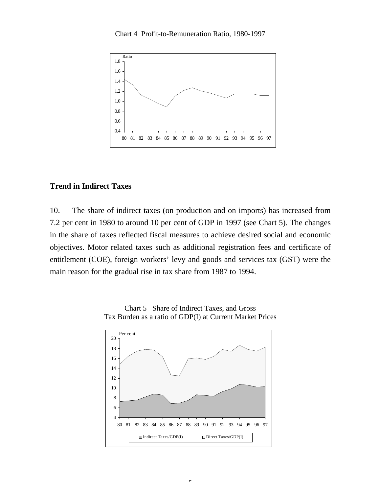Chart 4 Profit-to-Remuneration Ratio, 1980-1997



## **Trend in Indirect Taxes**

10. The share of indirect taxes (on production and on imports) has increased from 7.2 per cent in 1980 to around 10 per cent of GDP in 1997 (see Chart 5). The changes in the share of taxes reflected fiscal measures to achieve desired social and economic objectives. Motor related taxes such as additional registration fees and certificate of entitlement (COE), foreign workers' levy and goods and services tax (GST) were the main reason for the gradual rise in tax share from 1987 to 1994.



Chart 5 Share of Indirect Taxes, and Gross Tax Burden as a ratio of GDP(I) at Current Market Prices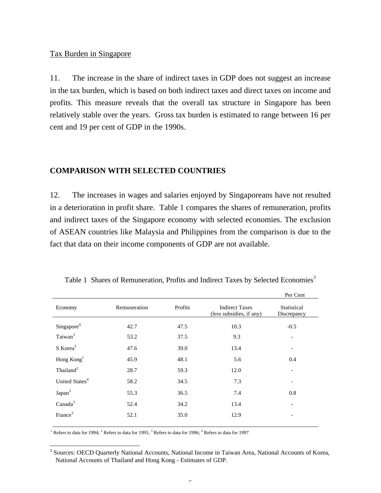#### Tax Burden in Singapore

11. The increase in the share of indirect taxes in GDP does not suggest an increase in the tax burden, which is based on both indirect taxes and direct taxes on income and profits. This measure reveals that the overall tax structure in Singapore has been relatively stable over the years. Gross tax burden is estimated to range between 16 per cent and 19 per cent of GDP in the 1990s.

### **COMPARISON WITH SELECTED COUNTRIES**

12. The increases in wages and salaries enjoyed by Singaporeans have not resulted in a deterioration in profit share. Table 1 compares the shares of remuneration, profits and indirect taxes of the Singapore economy with selected economies. The exclusion of ASEAN countries like Malaysia and Philippines from the comparison is due to the fact that data on their income components of GDP are not available.

|                            |              |         |                                                   | Per Cent                   |
|----------------------------|--------------|---------|---------------------------------------------------|----------------------------|
| Economy                    | Remuneration | Profits | <b>Indirect Taxes</b><br>(less subsidies, if any) | Statistical<br>Discrepancy |
| Singapore <sup>4</sup>     | 42.7         | 47.5    | 10.3                                              | $-0.5$                     |
| Taiwan <sup>3</sup>        | 53.2         | 37.5    | 9.3                                               | $\overline{\phantom{0}}$   |
| $S$ Korea <sup>3</sup>     | 47.6         | 39.0    | 13.4                                              | $\overline{\phantom{a}}$   |
| Hong $Kong1$               | 45.9         | 48.1    | 5.6                                               | 0.4                        |
| Thailand <sup>2</sup>      | 28.7         | 59.3    | 12.0                                              | $\overline{\phantom{0}}$   |
| United States <sup>4</sup> | 58.2         | 34.5    | 7.3                                               |                            |
| Japan <sup>3</sup>         | 55.3         | 36.5    | 7.4                                               | 0.8                        |
| Canada <sup>3</sup>        | 52.4         | 34.2    | 13.4                                              |                            |
| France <sup>3</sup>        | 52.1         | 35.0    | 12.9                                              |                            |
|                            |              |         |                                                   |                            |

Table 1 Shares of Remuneration, Profits and Indirect Taxes by Selected Economies<sup>3</sup>

<sup>1</sup> Refers to data for 1994; <sup>2</sup> Refers to data for 1995; <sup>3</sup> Refers to data for 1996; <sup>4</sup> Refers to data for 1997

-

<sup>&</sup>lt;sup>3</sup> Sources: OECD Quarterly National Accounts, National Income in Taiwan Area, National Accounts of Korea, National Accounts of Thailand and Hong Kong - Estimates of GDP.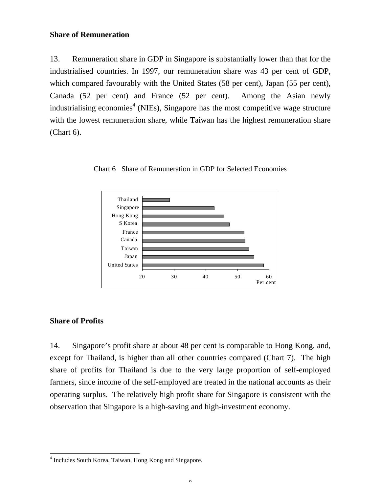### **Share of Remuneration**

13. Remuneration share in GDP in Singapore is substantially lower than that for the industrialised countries. In 1997, our remuneration share was 43 per cent of GDP, which compared favourably with the United States (58 per cent), Japan (55 per cent), Canada (52 per cent) and France (52 per cent). Among the Asian newly industrialising economies<sup>4</sup> (NIEs), Singapore has the most competitive wage structure with the lowest remuneration share, while Taiwan has the highest remuneration share (Chart 6).



Chart 6 Share of Remuneration in GDP for Selected Economies

# **Share of Profits**

-

14. Singapore's profit share at about 48 per cent is comparable to Hong Kong, and, except for Thailand, is higher than all other countries compared (Chart 7). The high share of profits for Thailand is due to the very large proportion of self-employed farmers, since income of the self-employed are treated in the national accounts as their operating surplus. The relatively high profit share for Singapore is consistent with the observation that Singapore is a high-saving and high-investment economy.

<sup>4</sup> Includes South Korea, Taiwan, Hong Kong and Singapore.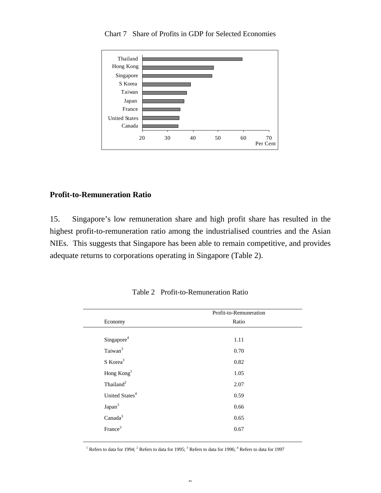

Chart 7 Share of Profits in GDP for Selected Economies

## **Profit-to-Remuneration Ratio**

15. Singapore's low remuneration share and high profit share has resulted in the highest profit-to-remuneration ratio among the industrialised countries and the Asian NIEs. This suggests that Singapore has been able to remain competitive, and provides adequate returns to corporations operating in Singapore (Table 2).

| Ratio<br>1.11 |
|---------------|
|               |
|               |
|               |
| 0.70          |
| 0.82          |
| 1.05          |
| 2.07          |
| 0.59          |
| 0.66          |
| 0.65          |
|               |
|               |

Table 2 Profit-to-Remuneration Ratio

<sup>1</sup> Refers to data for 1994; <sup>2</sup> Refers to data for 1995; <sup>3</sup> Refers to data for 1996; <sup>4</sup> Refers to data for 1997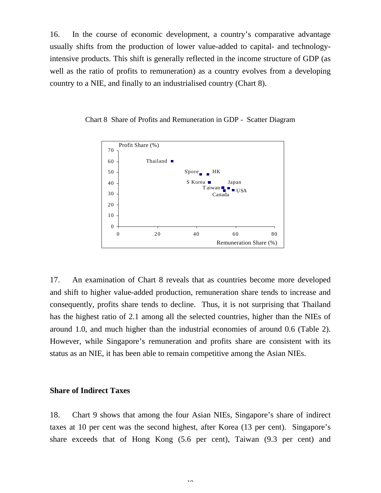16. In the course of economic development, a country's comparative advantage usually shifts from the production of lower value-added to capital- and technologyintensive products. This shift is generally reflected in the income structure of GDP (as well as the ratio of profits to remuneration) as a country evolves from a developing country to a NIE, and finally to an industrialised country (Chart 8).



Chart 8 Share of Profits and Remuneration in GDP - Scatter Diagram

17. An examination of Chart 8 reveals that as countries become more developed and shift to higher value-added production, remuneration share tends to increase and consequently, profits share tends to decline. Thus, it is not surprising that Thailand has the highest ratio of 2.1 among all the selected countries, higher than the NIEs of around 1.0, and much higher than the industrial economies of around 0.6 (Table 2). However, while Singapore's remuneration and profits share are consistent with its status as an NIE, it has been able to remain competitive among the Asian NIEs.

#### **Share of Indirect Taxes**

18. Chart 9 shows that among the four Asian NIEs, Singapore's share of indirect taxes at 10 per cent was the second highest, after Korea (13 per cent). Singapore's share exceeds that of Hong Kong (5.6 per cent), Taiwan (9.3 per cent) and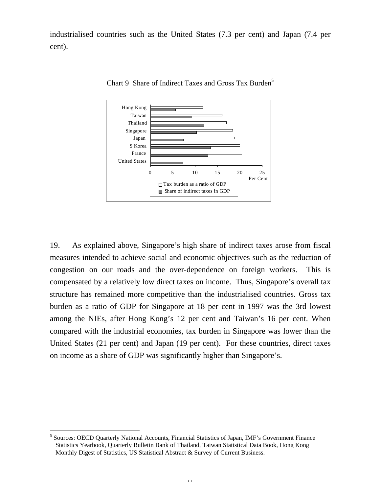industrialised countries such as the United States (7.3 per cent) and Japan (7.4 per cent).



Chart 9 Share of Indirect Taxes and Gross Tax Burden<sup>5</sup>

19. As explained above, Singapore's high share of indirect taxes arose from fiscal measures intended to achieve social and economic objectives such as the reduction of congestion on our roads and the over-dependence on foreign workers. This is compensated by a relatively low direct taxes on income. Thus, Singapore's overall tax structure has remained more competitive than the industrialised countries. Gross tax burden as a ratio of GDP for Singapore at 18 per cent in 1997 was the 3rd lowest among the NIEs, after Hong Kong's 12 per cent and Taiwan's 16 per cent. When compared with the industrial economies, tax burden in Singapore was lower than the United States (21 per cent) and Japan (19 per cent). For these countries, direct taxes on income as a share of GDP was significantly higher than Singapore's.

-

<sup>&</sup>lt;sup>5</sup> Sources: OECD Quarterly National Accounts, Financial Statistics of Japan, IMF's Government Finance Statistics Yearbook, Quarterly Bulletin Bank of Thailand, Taiwan Statistical Data Book, Hong Kong Monthly Digest of Statistics, US Statistical Abstract & Survey of Current Business.